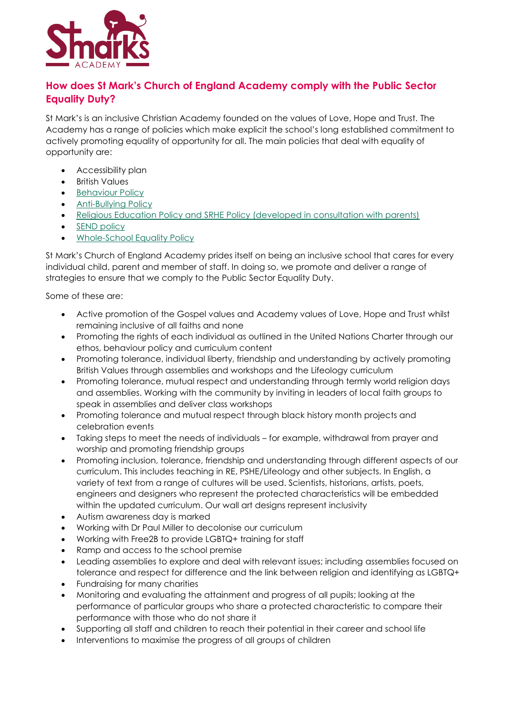

## **How does St Mark's Church of England Academy comply with the Public Sector Equality Duty?**

St Mark's is an inclusive Christian Academy founded on the values of Love, Hope and Trust. The Academy has a range of policies which make explicit the school's long established commitment to actively promoting equality of opportunity for all. The main policies that deal with equality of opportunity are:

- Accessibility plan
- British Values
- **[Behaviour Policy](https://www.stmarksacademy.com/attachments/download.asp?file=1056&type=pdf)**
- [Anti-Bullying Policy](https://www.stmarksacademy.com/attachments/download.asp?file=1016&type=pdf)
- [Religious Education Policy and SRHE Policy \(developed in consultation with parents\)](https://www.stmarksacademy.com/attachments/download.asp?file=1221&type=pdf)
- [SEND policy](https://www.stmarksacademy.com/attachments/download.asp?file=1228&type=pdf)
- [Whole-School Equality Policy](https://www.stmarksacademy.com/attachments/download.asp?file=1179&type=pdf)

St Mark's Church of England Academy prides itself on being an inclusive school that cares for every individual child, parent and member of staff. In doing so, we promote and deliver a range of strategies to ensure that we comply to the Public Sector Equality Duty.

Some of these are:

- Active promotion of the Gospel values and Academy values of Love, Hope and Trust whilst remaining inclusive of all faiths and none
- Promoting the rights of each individual as outlined in the United Nations Charter through our ethos, behaviour policy and curriculum content
- Promoting tolerance, individual liberty, friendship and understanding by actively promoting British Values through assemblies and workshops and the Lifeology curriculum
- Promoting tolerance, mutual respect and understanding through termly world religion days and assemblies. Working with the community by inviting in leaders of local faith groups to speak in assemblies and deliver class workshops
- Promoting tolerance and mutual respect through black history month projects and celebration events
- Taking steps to meet the needs of individuals for example, withdrawal from prayer and worship and promoting friendship groups
- Promoting inclusion, tolerance, friendship and understanding through different aspects of our curriculum. This includes teaching in RE, PSHE/Lifeology and other subjects. In English, a variety of text from a range of cultures will be used. Scientists, historians, artists, poets, engineers and designers who represent the protected characteristics will be embedded within the updated curriculum. Our wall art designs represent inclusivity
- Autism awareness day is marked
- Working with Dr Paul Miller to decolonise our curriculum
- Working with Free2B to provide LGBTQ+ training for staff
- Ramp and access to the school premise
- Leading assemblies to explore and deal with relevant issues; including assemblies focused on tolerance and respect for difference and the link between religion and identifying as LGBTQ+
- Fundraising for many charities
- Monitoring and evaluating the attainment and progress of all pupils; looking at the performance of particular groups who share a protected characteristic to compare their performance with those who do not share it
- Supporting all staff and children to reach their potential in their career and school life
- Interventions to maximise the progress of all groups of children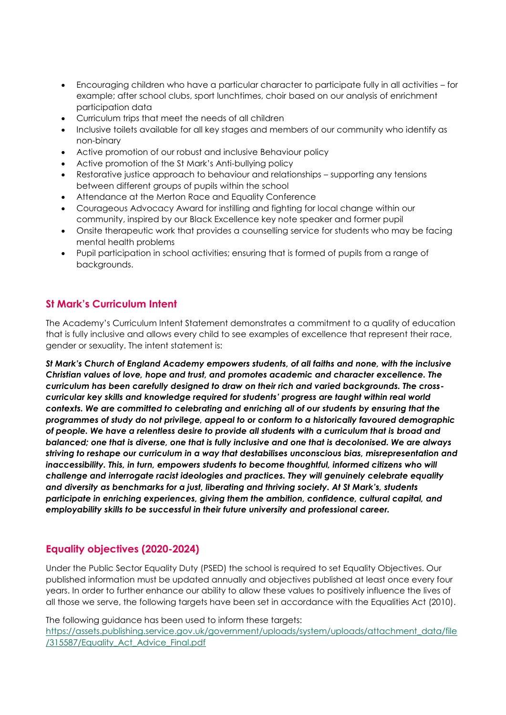- Encouraging children who have a particular character to participate fully in all activities for example; after school clubs, sport lunchtimes, choir based on our analysis of enrichment participation data
- Curriculum trips that meet the needs of all children
- Inclusive toilets available for all key stages and members of our community who identify as non-binary
- Active promotion of our robust and inclusive Behaviour policy
- Active promotion of the St Mark's Anti-bullying policy
- Restorative justice approach to behaviour and relationships supporting any tensions between different groups of pupils within the school
- Attendance at the Merton Race and Equality Conference
- Courageous Advocacy Award for instilling and fighting for local change within our community, inspired by our Black Excellence key note speaker and former pupil
- Onsite therapeutic work that provides a counselling service for students who may be facing mental health problems
- Pupil participation in school activities; ensuring that is formed of pupils from a range of backgrounds.

## **St Mark's Curriculum Intent**

The Academy's Curriculum Intent Statement demonstrates a commitment to a quality of education that is fully inclusive and allows every child to see examples of excellence that represent their race, gender or sexuality. The intent statement is:

*St Mark's Church of England Academy empowers students, of all faiths and none, with the inclusive Christian values of love, hope and trust, and promotes academic and character excellence. The curriculum has been carefully designed to draw on their rich and varied backgrounds. The crosscurricular key skills and knowledge required for students' progress are taught within real world contexts. We are committed to celebrating and enriching all of our students by ensuring that the programmes of study do not privilege, appeal to or conform to a historically favoured demographic of people. We have a relentless desire to provide all students with a curriculum that is broad and balanced; one that is diverse, one that is fully inclusive and one that is decolonised. We are always striving to reshape our curriculum in a way that destabilises unconscious bias, misrepresentation and*  inaccessibility. This, in turn, empowers students to become thoughtful, informed citizens who will *challenge and interrogate racist ideologies and practices. They will genuinely celebrate equality and diversity as benchmarks for a just, liberating and thriving society. At St Mark's, students participate in enriching experiences, giving them the ambition, confidence, cultural capital, and employability skills to be successful in their future university and professional career.*

## **Equality objectives (2020-2024)**

Under the Public Sector Equality Duty (PSED) the school is required to set Equality Objectives. Our published information must be updated annually and objectives published at least once every four years. In order to further enhance our ability to allow these values to positively influence the lives of all those we serve, the following targets have been set in accordance with the Equalities Act (2010).

The following guidance has been used to inform these targets: [https://assets.publishing.service.gov.uk/government/uploads/system/uploads/attachment\\_data/file](https://assets.publishing.service.gov.uk/government/uploads/system/uploads/attachment_data/file/315587/Equality_Act_Advice_Final.pdf) /315587/Equality Act Advice Final.pdf